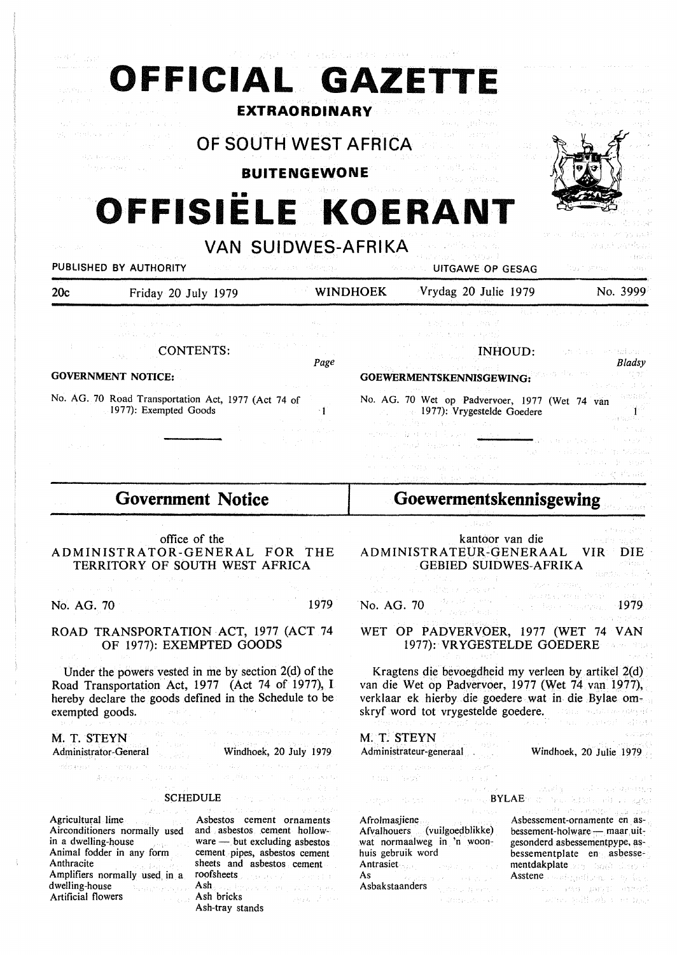| 建底层 经合伙的现在分词<br>计原始数据 法除法 经公司支票<br>PUBLISHED BY AUTHORITY                                                                                                                                                                                                                                                                                                                                                                                                                                                                                                                                                     |                                                                                                                                                           | OF SOUTH WEST AFRICA<br>しんたい 大反し しゅうえ しんねつ がば 街上げい                                                                                                                                                                                                                              | 医环菌素 医梅毒 化合金 医福拉氏囊 网络中心中 电视 医心病病的<br><b>EXTRAORDINARY DESCRIPTION</b><br><b>BUITENGEWONE</b>                                                                                                                                      |                                                                                                                                                                                                                                                                                                                                                           | OFFICIAL GAZETTE<br>OFFISIELE KOERANT<br>VAN SUIDWES-AFRIKA<br><b>SAME OP GESAG</b>                                                                                                                                                                                                                                                                                                                           |                                                                                                                                                                                                                                                                                                                                                                                                                                                           | Count of the                                                                                                                                                                                                                       |               |
|---------------------------------------------------------------------------------------------------------------------------------------------------------------------------------------------------------------------------------------------------------------------------------------------------------------------------------------------------------------------------------------------------------------------------------------------------------------------------------------------------------------------------------------------------------------------------------------------------------------|-----------------------------------------------------------------------------------------------------------------------------------------------------------|---------------------------------------------------------------------------------------------------------------------------------------------------------------------------------------------------------------------------------------------------------------------------------|-----------------------------------------------------------------------------------------------------------------------------------------------------------------------------------------------------------------------------------|-----------------------------------------------------------------------------------------------------------------------------------------------------------------------------------------------------------------------------------------------------------------------------------------------------------------------------------------------------------|---------------------------------------------------------------------------------------------------------------------------------------------------------------------------------------------------------------------------------------------------------------------------------------------------------------------------------------------------------------------------------------------------------------|-----------------------------------------------------------------------------------------------------------------------------------------------------------------------------------------------------------------------------------------------------------------------------------------------------------------------------------------------------------------------------------------------------------------------------------------------------------|------------------------------------------------------------------------------------------------------------------------------------------------------------------------------------------------------------------------------------|---------------|
| 20c                                                                                                                                                                                                                                                                                                                                                                                                                                                                                                                                                                                                           | Friday 20 July 1979                                                                                                                                       |                                                                                                                                                                                                                                                                                 | <b>WINDHOEK</b>                                                                                                                                                                                                                   |                                                                                                                                                                                                                                                                                                                                                           | Vrydag 20 Julie 1979                                                                                                                                                                                                                                                                                                                                                                                          |                                                                                                                                                                                                                                                                                                                                                                                                                                                           | No. 3999                                                                                                                                                                                                                           |               |
|                                                                                                                                                                                                                                                                                                                                                                                                                                                                                                                                                                                                               | 大村 コール・サウト ゆうしゃ                                                                                                                                           | <b>CONTENTS:</b>                                                                                                                                                                                                                                                                | Page                                                                                                                                                                                                                              |                                                                                                                                                                                                                                                                                                                                                           | 医高层 机调度 人名特勒堡<br>GOEWERMENTSKENNISGEWING:                                                                                                                                                                                                                                                                                                                                                                     | INHOUD:                                                                                                                                                                                                                                                                                                                                                                                                                                                   | (1965) - 1970 - 1970 - 1971<br>syn sin a commentation of                                                                                                                                                                           | <b>Bladsy</b> |
| <b>GOVERNMENT NOTICE:</b><br>No. AG. 70 Road Transportation Act, 1977 (Act 74 of                                                                                                                                                                                                                                                                                                                                                                                                                                                                                                                              |                                                                                                                                                           |                                                                                                                                                                                                                                                                                 |                                                                                                                                                                                                                                   | No. AG. 70 Wet op Padvervoer, 1977 (Wet 74 van                                                                                                                                                                                                                                                                                                            |                                                                                                                                                                                                                                                                                                                                                                                                               |                                                                                                                                                                                                                                                                                                                                                                                                                                                           |                                                                                                                                                                                                                                    |               |
|                                                                                                                                                                                                                                                                                                                                                                                                                                                                                                                                                                                                               | 1977): Exempted Goods                                                                                                                                     |                                                                                                                                                                                                                                                                                 |                                                                                                                                                                                                                                   |                                                                                                                                                                                                                                                                                                                                                           | 1977): Vrygestelde Goedere<br>こんけん そうしょうせい しゅうせい<br>なりかしものの しゅん                                                                                                                                                                                                                                                                                                                                               |                                                                                                                                                                                                                                                                                                                                                                                                                                                           |                                                                                                                                                                                                                                    | 全力风险 机高温      |
| <b>Government Notice</b>                                                                                                                                                                                                                                                                                                                                                                                                                                                                                                                                                                                      |                                                                                                                                                           |                                                                                                                                                                                                                                                                                 |                                                                                                                                                                                                                                   | Goewermentskennisgewing                                                                                                                                                                                                                                                                                                                                   |                                                                                                                                                                                                                                                                                                                                                                                                               |                                                                                                                                                                                                                                                                                                                                                                                                                                                           |                                                                                                                                                                                                                                    |               |
| and group and control the state of the state of the                                                                                                                                                                                                                                                                                                                                                                                                                                                                                                                                                           | the company of the company of the company                                                                                                                 | office of the<br>ADMINISTRATOR-GENERAL FOR THE<br>TERRITORY OF SOUTH WEST AFRICA<br>医最大性的 医牙的过去分词                                                                                                                                                                               | and the state of the state of the state of the state of the state of the state of the state of the state of the<br>The state of the state of the state of the state of the state of the state of the state of the state of the st |                                                                                                                                                                                                                                                                                                                                                           | kantoor van die<br>ADMINISTRATEUR-GENERAAL VIR DIE<br>GEBIED SUIDWES-AFRIKA<br>经经营 计相同字 最后的第三人称单数<br>ilar shekarar kifin ke sanaye t                                                                                                                                                                                                                                                                          | $\label{eq:1} \mathcal{V}(\mathcal{P}) = \mathcal{V}(\mathcal{P}) = \mathcal{I}(\mathcal{P}) \mathbb{E} \mathcal{V}(\mathcal{P}) = \mathcal{V}(\mathcal{P}) \mathbb{E} \mathcal{V}(\mathcal{P}) = \frac{1}{2} \mathcal{V}(\mathcal{P}) \mathbb{E} \mathcal{V}(\mathcal{P}) = \frac{1}{2} \mathcal{V}(\mathcal{P}) \mathbb{E} \mathcal{V}(\mathcal{P}) = \frac{1}{2} \mathcal{V}(\mathcal{P}) \mathbb{E} \mathcal{V}(\mathcal{P}) = \frac{1}{2} \mathcal{$ | The antistrum Past Comment                                                                                                                                                                                                         | ie Noar       |
| No. AG. 70                                                                                                                                                                                                                                                                                                                                                                                                                                                                                                                                                                                                    |                                                                                                                                                           |                                                                                                                                                                                                                                                                                 | 1979                                                                                                                                                                                                                              | No. AG. 70                                                                                                                                                                                                                                                                                                                                                |                                                                                                                                                                                                                                                                                                                                                                                                               |                                                                                                                                                                                                                                                                                                                                                                                                                                                           | of the Characteristics<br>Such as with this trade                                                                                                                                                                                  | 1979          |
| ROAD TRANSPORTATION ACT, 1977 (ACT 74<br>OF 1977): EXEMPTED GOODS                                                                                                                                                                                                                                                                                                                                                                                                                                                                                                                                             |                                                                                                                                                           |                                                                                                                                                                                                                                                                                 |                                                                                                                                                                                                                                   | WET OP PADVERVOER, 1977 (WET 74 VAN<br>1977): VRYGESTELDE GOEDERE                                                                                                                                                                                                                                                                                         |                                                                                                                                                                                                                                                                                                                                                                                                               |                                                                                                                                                                                                                                                                                                                                                                                                                                                           |                                                                                                                                                                                                                                    |               |
| Under the powers vested in me by section $2(d)$ of the<br>Road Transportation Act, 1977 (Act 74 of 1977), I<br>hereby declare the goods defined in the Schedule to be<br>exempted goods. The state of the state of the state of the state of the state of the state of the state of the<br>$\label{eq:W} \Omega_{\rm{c}}(\mathcal{T}) = \mathbb{E}_{\mathbf{r},\mathbf{z}}\left[ \left( \delta \mathcal{F} \right) \right] = \mathbb{E}_{\mathbf{r}} \left[ \mathcal{T} \right] \left( \mathcal{T} \right) \mathcal{T} \left( \mathbf{r}, \mathbf{z} \right) = \mathcal{N} \mathbf{r}, \mathbf{z} \mathbf{z}$ |                                                                                                                                                           |                                                                                                                                                                                                                                                                                 |                                                                                                                                                                                                                                   | Kragtens die bevoegdheid my verleen by artikel $2(d)$<br>van die Wet op Padvervoer, 1977 (Wet 74 van 1977),<br>verklaar ek hierby die goedere wat in die Bylae om-<br>skryf word tot vrygestelde goedere. The substanting of<br>appropriate these $\mathbb{Z}$ . Then, $\mathbb{P}$ is than a converged added                                             |                                                                                                                                                                                                                                                                                                                                                                                                               |                                                                                                                                                                                                                                                                                                                                                                                                                                                           |                                                                                                                                                                                                                                    |               |
| M. T. STEYN<br>Administrator-General                                                                                                                                                                                                                                                                                                                                                                                                                                                                                                                                                                          |                                                                                                                                                           | To work and the first first control of the<br>Windhoek, 20 July 1979                                                                                                                                                                                                            |                                                                                                                                                                                                                                   |                                                                                                                                                                                                                                                                                                                                                           | M. T. STEYN<br>Administrateur-generaal                                                                                                                                                                                                                                                                                                                                                                        |                                                                                                                                                                                                                                                                                                                                                                                                                                                           | Windhoek, 20 Julie 1979                                                                                                                                                                                                            |               |
|                                                                                                                                                                                                                                                                                                                                                                                                                                                                                                                                                                                                               | whereas and any processes and<br>新加拿大 的第三人称形式                                                                                                             | MA Support Form Are support of the<br>The contribution of the company with                                                                                                                                                                                                      |                                                                                                                                                                                                                                   |                                                                                                                                                                                                                                                                                                                                                           | and operations and company was<br>this way and a state of                                                                                                                                                                                                                                                                                                                                                     |                                                                                                                                                                                                                                                                                                                                                                                                                                                           |                                                                                                                                                                                                                                    |               |
| and the first substitution of the contract of the contract of the contract of<br><b>SCHEDULE Second and the second of the Second Second Second Second Second Second Second Second Second Second Second Second Second Second Second Second Second Second Second Second Second Second Second Second Second Second</b><br>$\sim 10^7$<br>「一般のことになるのか」 サービュールと気候が行                                                                                                                                                                                                                                                |                                                                                                                                                           |                                                                                                                                                                                                                                                                                 |                                                                                                                                                                                                                                   | and the contract of the second state of the contract of the contract of the contract of the contract of the contract of the contract of the contract of the contract of the contract of the contract of the contract of the co<br>. However, the same control of $\mathsf{BYLAE}$ of the second legislation of the second<br>in the million exploring des |                                                                                                                                                                                                                                                                                                                                                                                                               |                                                                                                                                                                                                                                                                                                                                                                                                                                                           |                                                                                                                                                                                                                                    |               |
| Agricultural lime<br>Airconditioners normally used<br>in a dwelling-house and the state of the state of the state of the state of the state of the state of the state of the state of the state of the state of the state of the state of the state of the state of the state of the<br>Animal fodder in any form<br>Anthracite<br>Amplifiers normally used in a<br>dwelling-house<br>Artificial flowers                                                                                                                                                                                                      | an an Indonesia.<br>Tanah menggunakan bahasa dalam bahasa dalam bahasa dalam bahasa dalam bahasa dalam bahasa dalam bahasa dalam b<br>in Agricultural and | Asbestos cement ornaments<br>and asbestos cement hollow-<br>ware - but excluding asbestos<br>cement pipes, asbestos cement<br>sheets and asbestos cement<br>roofsheets and a service and a service of<br>Ash, and there is a series of the re-<br>Ash bricks<br>Ash-tray stands | and the same program of the state                                                                                                                                                                                                 | huis gebruik word<br>As                                                                                                                                                                                                                                                                                                                                   | Afrolmasjiene<br>Afvalhouers (vuilgoedblikke)<br>wat normaalweg in 'n woon-<br>Antrasiet State Company of the State<br>The Restaurance of the Education<br>Asbakstaanders and the state of the state of the state of the state of the state of the state of the state of the state of the state of the state of the state of the state of the state of the state of the state of the stat<br>in Karnelsen (Ka | and a series with what errors.                                                                                                                                                                                                                                                                                                                                                                                                                            | Asbessement-ornamente en as-<br>bessement-holware — maar uit-<br>gesonderd asbessementpype, as-<br>bessementplate en asbesse-<br>mentdakplate programment is a serious<br>Asstene condegration, and conducts<br>we are sample are: |               |

 $\mathcal{C}^{\text{unpert}}$ 

 $\begin{array}{c} 1 \\ 1 \\ 1 \end{array}$ 

 $\frac{1}{N}$  .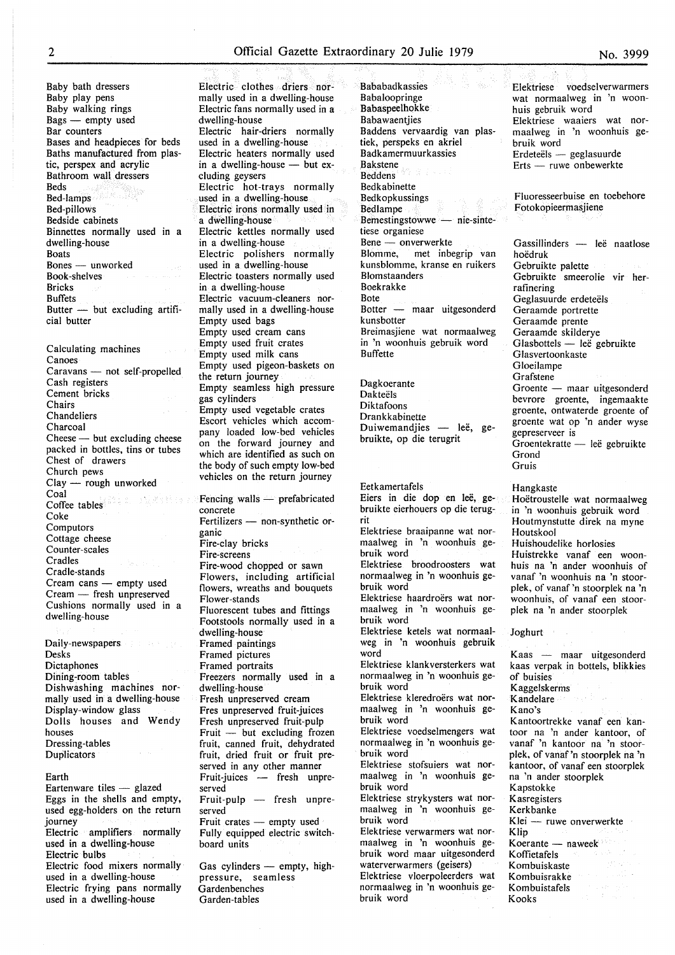Bababadkassies

Baby bath dressers Baby play pens Baby walking rings  $Bags$  - empty used Bar counters Bases and headpieces for beds Baths manufactured from plastic, perspex and acrylic Bathroom wall dressers Beds Bed-lamps Bed-pillows Bedside cabinets Binnettes normally used in a dwelling-house Boats Bones - unworked Book-shelves Bricks Buffets Butter  $-$  but excluding artificial butter

Calculating machines Canoes Caravans - not self-propelled Cash registers Cement bricks Chairs Chandeliers Charcoal Cheese - but excluding cheese packed in bottles, tins or tubes Chest of drawers Church pews Clay — rough unworked<br>Coal Coal Coffee tables Coke **Computors** Cottage cheese Counter-scales Cradles Cradle-stands Cream cans - empty used Cream - fresh unpreserved Cushions normally used in a dwelling-house

Daily-newspapers and the Daily-newspapers Desks Dictaphones Dining-room tables Dishwashing machines normally used in a dwelling-house Display-window glass Dolls houses and Wendy houses Dressing-tables **Duplicators** 

Earth Eartenware tiles - glazed Eggs in the shells and empty, used egg-holders on the return journey Electric amplifiers normally used in a dwelling-house Electric bulbs Electric food mixers normally used in a dwelling-house Electric frying pans normally used in a dwelling-house

Garden-tables

Electric clothes driers normally used in a dwelling-house Electric fans normally used in a dwelling-house Electric hair-driers normally used in a dwelling-house Electric heaters normally used in a dwelling-house  $-$  but excluding geysers Electric hot-trays normally used in a dwelling-house Electric irons normally used in a dwelling-house Electric kettles normally used in a dwelling-house Electric polishers normally used in a dwelling-house Electric toasters normally used in a dwelling-house Electric vacuum-cleaners normally used in a dwelling-house Empty used bags Empty used cream cans Empty used fruit crates Empty used milk cans Empty used pigeon-baskets on the return journey Empty seamless high pressure gas cylinders Empty used vegetable crates Escort vehicles which accompany loaded low-bed vehicles on the forward journey and which are identified as such on the body of such empty low-bed vehicles on the return journey Fencing walls  $-$  prefabricated concrete Fertilizers - non-synthetic organic Fire-clay bricks Fire-screens Fire-wood chopped or sawn Flowers, including artificial flowers, wreaths and bouquets Flower-stands Fluorescent tubes and fittings Footstools normally used in a dwelling-house Framed paintings Framed pictures Framed portraits Freezers normally used in a dwelling-house Fresh unpreserved cream Fres unpreserved fruit-juices Fresh unpreserved fruit-pulp  $Fruit$  - but excluding frozen fruit, canned fruit, dehydrated fruit, dried fruit or fruit preserved in any other manner Fruit-juices - fresh unpreserved Fruit-pulp - fresh unpreserved Fruit crates - empty used Fully equipped electric switchboard units Gas cylinders - empty, highpressure, seamless Garden benches

Babaloopringe Babaspeelhokke Babawaentijes Baddens vervaardig van plastiek, perspeks en akriel Badkamermuurkassies .Bakstene Beddens Bedkabinette Bedkopkussings **Bedlamne** Bemestingstowwe — nie-sintetiese organiese Bene — onverwerkte Blomme, met inbegrip van kunsblomme, kranse en ruikers Blomstaanders Boekrakke Bote Botter - maar uitgesonderd kunsbotter Breimasjiene wat normaalweg in 'n woonhuis gebruik word Buffette Dagkoerante Dakteëls Diktafoons Drankkabinette Duiwemandjies — leë, gebruikte, op die terugrit Eetkamertafels Eiers in die dop en leë, gebruikte eierhouers op die terugrit Elektriese braaipanne wat normaalweg in 'n woonhuis gebruik word Elektriese broodroosters wat normaalweg in 'n woonhuis gebruik word Elektriese haardroërs wat normaalweg in 'n woonhuis gebruik word Elektriese ketels wat normaalweg in 'n woonhuis gebruik word Elektriese klankversterkers wat normaalweg in 'n woonhuis gebruik word Elektriese kleredroërs wat normaalweg in 'n woonhuis gebruik word Elektriese voedselmengers wat normaalweg in 'n woonhuis gebruik word Elektriese stofsuiers wat normaalweg in 'n woonhuis gebruik word Elektriese strykysters wat normaalweg in 'n woonhuis gebruik word Elektriese verwarmers wat normaalweg in 'n woonhuis gebruik word maar uitgesonderd waterverwarmers (geisers) Elektriese vloerpoleerders wat

normaalweg in 'n woonhuis ge-

bruik word

No. 3999

Elektriese voedselverwarmers wat normaalweg in 'n woonhuis gebruik word Elektriese waaiers wat normaalweg in 'n woonhuis gebruik word Erdeteëls - geglasuurde Erts - ruwe onbewerkte Fluoresseerbuise en toebehore Fotokopieermasjiene Gassillinders - leë naatlose hoedruk Gebruikte palette Gebruikte smeerolie vir herrafinering Geglasuurde erdeteëls Geraamde portrette Geraamde prente Geraamde skilderye Glasbottels — leë gebruikte Glasvertoonkaste Gloeilampe Grafstene Groente - maar uitgesonderd bevrore groente, ingemaakte groente, ontwaterde groente of groente wat op 'n ander wyse gepreserveer is Groentekratte — leë gebruikte Grond Gruis Hangkaste Hoëtroustelle wat normaalweg in 'n woonhuis gebruik word Houtmynstutte direk na myne Houtskool Huishoudelike horlosies Huistrekke vanaf een woonhuis na 'n ander woonhuis of vanaf 'n woonhuis na 'n stoorplek, of vanaf 'n stoorplek na 'n woonhuis, of vanaf een stoorplek na 'n ander stoorplek Joghurt Kaas - maar uitgesonderd kaas verpak in bottels, blikkies of buisies Kaggelskerms Kandelare

Kano's Kantoortrekke vanaf een kantoor na 'n ander kantoor, of vanaf 'n kantoor na 'n stoorplek, of vanaf 'n stoorplek na 'n kantoor, of vanaf een stoorplek na 'n ander stoorplek Kapstokke Kasregisters Kerkbanke Klei — ruwe onverwerkte Klip Koerante  $-$  naweek $\overline{\phantom{a}}$ Koffietafels Kombuiskaste Kombuisrakke Kombuistafels

Kooks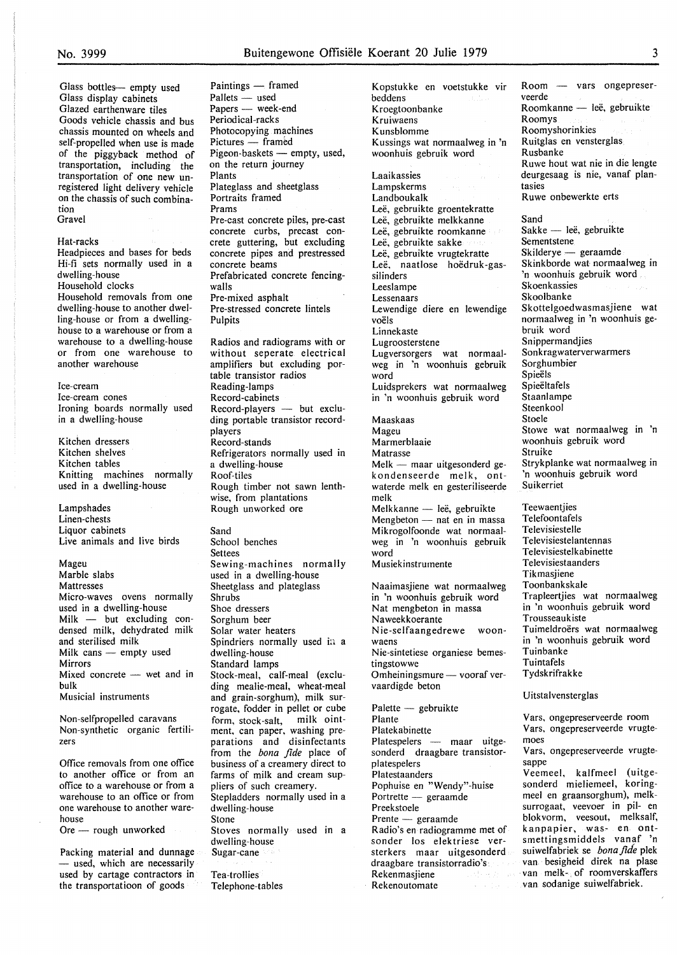Glass bottles- empty used Glass display cabinets Glazed earthenware tiles Goods vehicle chassis and bus chassis mounted on wheels and self-propelled when use is made of the piggyback method of transportation, including the transportation of one new unregistered light delivery vehicle on the chassis of such combination Gravel

Hat-racks

Headpieces and bases for beds Hi-fi sets normally used in a dwelling-house Household clocks Household removals from one dwelling-house to another dwelling-house or from a dwellinghouse to a warehouse or from a warehouse to a dwelling-house or from one warehouse to another warehouse

Ice-cream Ice-cream cones Ironing boards normally used in a dwelling-house

Kitchen dressers Kitchen shelves Kitchen tables Knitting machines normally used in a dwelling-house

Lampshades Linen-chests Liquor cabinets Live animals and live birds

Mageu Marble slabs Mattresses Micro-waves ovens normally used in a dwelling-house  $M$ ilk  $-$  but excluding condensed milk, dehydrated milk and sterilised milk **Milk cans — empty used** Mirrors Mixed concrete  $-$  wet and in bulk Musicial instruments

Non-selfpropelled caravans Non-synthetic organic fertilizers

Office removals from one office to another office or from an office to a warehouse or from a warehouse to an office or from one warehouse to another warehouse

Ore - rough unworked

Packing material and dunnage - used, which are necessarily used by cartage contractors in the transportatioon of goods

Paintings - framed Pallets — used Papers — week-end Periodical-racks Photocopying machines Pictures - framed Pigeon-baskets — empty, used, on the return journey Plants Plateglass and sheetglass Portraits framed Prams Pre-cast concrete piles, pre-cast concrete curbs, precast concrete guttering, but excluding concrete pipes and prestressed concrete beams Prefabricated concrete fencingwalls Pre-mixed asphalt Pre-stressed concrete lintels Pulpits Radios and radiograms with or without seperate electrical amplifiers but excluding portable transistor radios Reading-lamps Record-cabinets  $Record$ -players  $-$  but excluding portable transistor recordplayers Record-stands Refrigerators normally used in a dwelling-house Roof-tiles Rough timber not sawn lenthwise, from plantations Rough unworked ore Sand School benches Settees Sewing-machines normally used in a dwelling-house Sheetglass and plateglass Shrubs Shoe dressers Sorghum beer Solar water heaters Spindriers normally used in a dwelling-house Standard lamps Stock-meal, calf-meal (excluding mealie-meal, wheat-meal and grain-sorghum), milk surrogate, fodder in pellet or cube form, stock-salt, milk ointment, can paper, washing preparations and disinfectants from the *bona fide* place of business of a creamery direct to farms of milk and cream suppliers of such creamery. Stepladders normally used in a dwelling-house Stone Stoves normally used in a dwelling-house Sugar-cane Tea-trollies Telephone-tables

Kopstukke en voetstukke vir beddens Kroegtoonbanke Kruiwaens Kunsblomme Kussings wat normaalweg in 'n woonhuis gebruik word Laaikassies Lampskerms Landboukalk Leë, gebruikte groentekratte Lee, gebruikte melkkanne Leë, gebruikte roomkanne Leë, gebruikte sakke Leë, gebruikte vrugtekratte Leë, naatlose hoëdruk-gassilinders Leeslampe Lessenaars Lewendige diere en lewendige voels Linnekaste Lugroosterstene Lugversorgers wat normaalweg in 'n woonhuis gebruik word Luidsprekers wat normaalweg in 'n woonhuis gebruik word Maaskaas Mageu Marmerblaaie Matrasse  $Melk$  - maar uitgesonderd gekondenseerde melk, ontwaterde melk en gesteriliseerde melk Melkkanne — leë, gebruikte Mengbeton - nat en in massa Mikrogolfoonde wat normaalweg in 'n woonhuis gebruik word Musiekinstrumente Naaimasjiene wat normaalweg in 'n woonhuis gebruik word Nat mengbeton in massa Naweekkoerante Nie-selfaangedrewe woonwaens Nie-sintetiese organiese bemestingstowwe Omheiningsmure - vooraf vervaardigde beton Palette - gebruikte Plante Platekabinette Platespelers - maar uitgesonderd draagbare transistorplatespelers Platestaanders Pophuise en "Wendy"-huise Portrette - geraamde Preekstoele Prente - geraamde Radio's en radiogramme met of sonder los elektriese versterkers maar uitgesonderd draagbare transistorradio's Rekenmasjiene Rekenoutomate  $Room - vars$  ongepreser-

veerde Roomkanne - leë, gebruikte Roomys Roomyshorinkies Ruitglas en vensterglas Rusbanke Ruwe hout wat nie in die lengte deurgesaag is nie, vanaf plantasies Ruwe onbewerkte erts Sand Sakke - leë, gebruikte Sementstene Skilderye — geraamde Skinkborde wat normaalweg in 'n woonhuis gebruik word Skoenkassies Skoolbanke Skottelgoedwasmasjiene wat normaalweg in 'n woonhuis gebruik word Snippermandjies Sonkragwaterverwarmers Sorghumbier Spieels **Spieëltafels** Staanlampe Steenkool Stoele Stowe wat normaalweg in 'n woonhuis gebruik word Struike Strykplanke wat normaalweg in 'n woonhuis gebruik word Suikerriet **Teewaentiies** Telefoontafels

Televisiestelle Televisiestelantennas Televisiestelkabinette Televisiestaanders **Tikmasiiene** Toonbankskale Trapleertjies wat normaalweg in 'n woonhuis gebruik word Trousseaukiste Tuimeldroërs wat normaalweg in 'n woonhuis gebruik word Tuinbanke Tuintafels Tydskrifrakke

Uitstalvensterglas

Vars, ongepreserveerde room Vars, ongepreserveerde vrugtemoes Vars, ongepreserveerde vrugtesappe Veemeel, kalfmeel (uitgesonderd mieliemeel, koringmeel en graansorghum), melksurrogaat, veevoer in pil- en blokvorm, veesout, melksalf, kanpapier, was- en ontsmettingsmiddels vanaf 'n suiwelfapriek se *bona.fide* plek van besigheid direk na plase van melk- of roomverskaffers van sodanige suiwelfabriek.